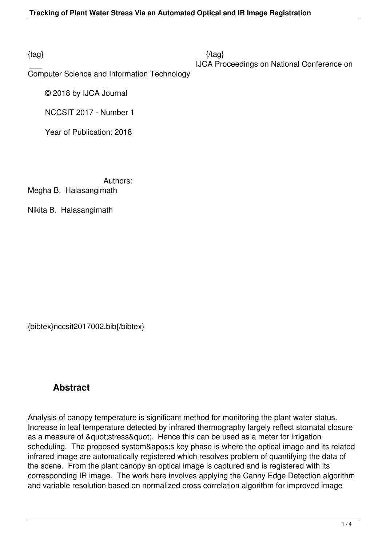Computer Science and Information Technology

© 2018 by IJCA Journal

NCCSIT 2017 - Number 1

Year of Publication: 2018

Authors:

Megha B. Halasangimath

Nikita B. Halasangimath

{bibtex}nccsit2017002.bib{/bibtex}

## **Abstract**

Analysis of canopy temperature is significant method for monitoring the plant water status. Increase in leaf temperature detected by infrared thermography largely reflect stomatal closure as a measure of & quot: stress & quot:. Hence this can be used as a meter for irrigation scheduling. The proposed system&apos: key phase is where the optical image and its related infrared image are automatically registered which resolves problem of quantifying the data of the scene. From the plant canopy an optical image is captured and is registered with its corresponding IR image. The work here involves applying the Canny Edge Detection algorithm and variable resolution based on normalized cross correlation algorithm for improved image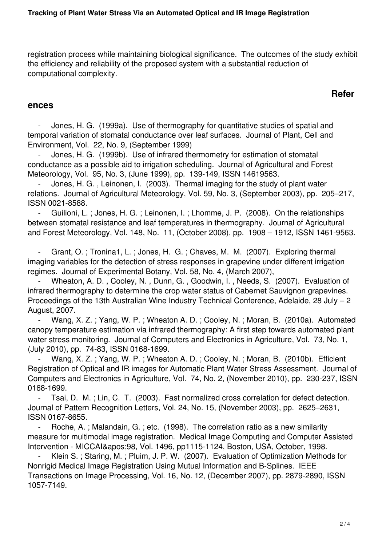registration process while maintaining biological significance. The outcomes of the study exhibit the efficiency and reliability of the proposed system with a substantial reduction of computational complexity.

## **Refer**

## **ences**

 - Jones, H. G. (1999a). Use of thermography for quantitative studies of spatial and temporal variation of stomatal conductance over leaf surfaces. Journal of Plant, Cell and Environment, Vol. 22, No. 9, (September 1999)

 - Jones, H. G. (1999b). Use of infrared thermometry for estimation of stomatal conductance as a possible aid to irrigation scheduling. Journal of Agricultural and Forest Meteorology, Vol. 95, No. 3, (June 1999), pp. 139-149, ISSN 14619563.

Jones, H. G., Leinonen, I. (2003). Thermal imaging for the study of plant water relations. Journal of Agricultural Meteorology, Vol. 59, No. 3, (September 2003), pp. 205–217, ISSN 0021-8588.

Guilioni, L.; Jones, H. G.; Leinonen, I.; Lhomme, J. P. (2008). On the relationships between stomatal resistance and leaf temperatures in thermography. Journal of Agricultural and Forest Meteorology, Vol. 148, No. 11, (October 2008), pp. 1908 – 1912, ISSN 1461-9563.

Grant, O.; Tronina1, L.; Jones, H. G.; Chaves, M. M. (2007). Exploring thermal imaging variables for the detection of stress responses in grapevine under different irrigation regimes. Journal of Experimental Botany, Vol. 58, No. 4, (March 2007),

Wheaton, A. D., Cooley, N., Dunn, G., Goodwin, I., Needs, S. (2007). Evaluation of infrared thermography to determine the crop water status of Cabernet Sauvignon grapevines. Proceedings of the 13th Australian Wine Industry Technical Conference, Adelaide, 28 July – 2 August, 2007.

Wang, X. Z.; Yang, W. P.; Wheaton A. D.; Cooley, N.; Moran, B. (2010a). Automated canopy temperature estimation via infrared thermography: A first step towards automated plant water stress monitoring. Journal of Computers and Electronics in Agriculture, Vol. 73, No. 1, (July 2010), pp. 74-83, ISSN 0168-1699.

Wang, X. Z.; Yang, W. P.; Wheaton A. D.; Cooley, N.; Moran, B. (2010b). Efficient Registration of Optical and IR images for Automatic Plant Water Stress Assessment. Journal of Computers and Electronics in Agriculture, Vol. 74, No. 2, (November 2010), pp. 230-237, ISSN 0168-1699.

 - Tsai, D. M. ; Lin, C. T. (2003). Fast normalized cross correlation for defect detection. Journal of Pattern Recognition Letters, Vol. 24, No. 15, (November 2003), pp. 2625–2631, ISSN 0167-8655.

Roche, A.; Malandain, G.; etc. (1998). The correlation ratio as a new similarity measure for multimodal image registration. Medical Image Computing and Computer Assisted Intervention - MICCAI'98, Vol. 1496, pp1115-1124, Boston, USA, October, 1998.

Klein S.; Staring, M.; Pluim, J. P. W. (2007). Evaluation of Optimization Methods for Nonrigid Medical Image Registration Using Mutual Information and B-Splines. IEEE Transactions on Image Processing, Vol. 16, No. 12, (December 2007), pp. 2879-2890, ISSN 1057-7149.